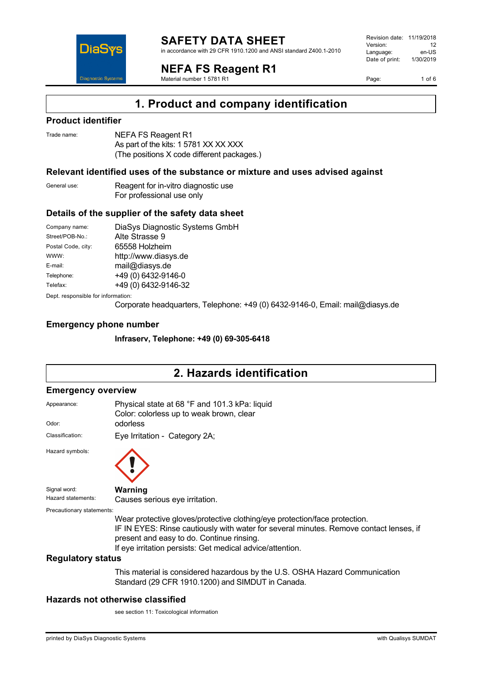

in accordance with 29 CFR 1910.1200 and ANSI standard Z400.1-2010

**NEFA FS Reagent R1**

Material number 1 5781 R1

Revision date: 11/19/2018 Version: 12<br>Language: en-LIS Language: en-US<br>Date of print: 1/30/2019  $Date$  of print:

Page: 1 of 6

## **1. Product and company identification**

### **Product identifier**

DiaS

**Diagnostic System** 

| Trade name: | NEFA FS Reagent R1            |
|-------------|-------------------------------|
|             | As part of the kits: 1 5781 X |

 $\chi$  xx  $\chi$   $\chi$ (The positions X code different packages.)

### **Relevant identified uses of the substance or mixture and uses advised against**

General use: Reagent for in-vitro diagnostic use For professional use only

### **Details of the supplier of the safety data sheet**

Company name: DiaSys Diagnostic Systems GmbH<br>Street/POB-No.: Alte Strasse 9 Alte Strasse 9 Postal Code, city: 65558 Holzheim WWW: <http://www.diasys.de> E-mail: mail@diasys.de Telephone: +49 (0) 6432-9146-0 Telefax: +49 (0) 6432-9146-32 Dept. responsible for information:

Corporate headquarters, Telephone: +49 (0) 6432-9146-0, Email: mail@diasys.de

### **Emergency phone number**

**Infraserv, Telephone: +49 (0) 69-305-6418**

# **2. Hazards identification**

### **Emergency overview**

| Appearance:               | Physical state at 68 °F and 101.3 kPa: liquid<br>Color: colorless up to weak brown, clear                                                                                                                                                                                      |
|---------------------------|--------------------------------------------------------------------------------------------------------------------------------------------------------------------------------------------------------------------------------------------------------------------------------|
| Odor:                     | odorless                                                                                                                                                                                                                                                                       |
| Classification:           | Eye Irritation - Category 2A;                                                                                                                                                                                                                                                  |
| Hazard symbols:           |                                                                                                                                                                                                                                                                                |
| Signal word:              | Warning                                                                                                                                                                                                                                                                        |
| Hazard statements:        | Causes serious eye irritation.                                                                                                                                                                                                                                                 |
| Precautionary statements: |                                                                                                                                                                                                                                                                                |
|                           | Wear protective gloves/protective clothing/eye protection/face protection.<br>IF IN EYES: Rinse cautiously with water for several minutes. Remove contact lenses, if<br>present and easy to do. Continue rinsing.<br>If eye irritation persists: Get medical advice/attention. |
| <b>Regulatory status</b>  |                                                                                                                                                                                                                                                                                |
|                           | This material is considered hazardous by the U.S. OSHA Hazard Communication<br>Standard (29 CFR 1910.1200) and SIMDUT in Canada.                                                                                                                                               |

### **Hazards not otherwise classified**

see section 11: Toxicological information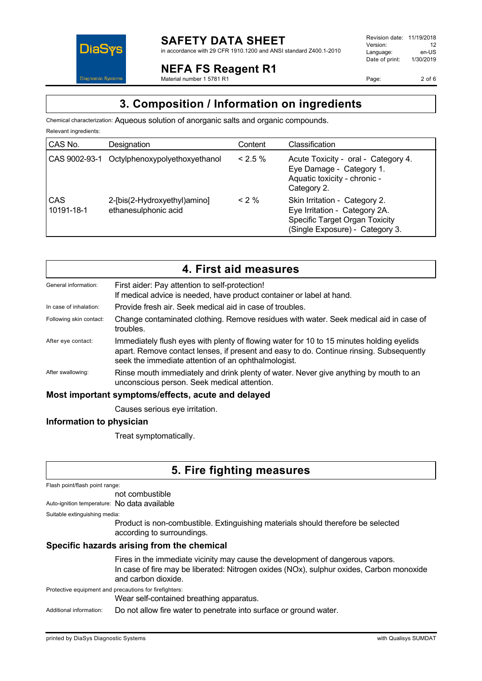

### **NEFA FS Reagent R1**

Material number 1 5781 R1

Revision date: 11/19/2018 Version: 12<br>Language: en-LIS Language: Date of print: 1/30/2019

Page: 2 of 6

## **3. Composition / Information on ingredients**

Chemical characterization: Aqueous solution of anorganic salts and organic compounds.

| Relevant ingredients: |                                                      |            |                                                                                                                                     |
|-----------------------|------------------------------------------------------|------------|-------------------------------------------------------------------------------------------------------------------------------------|
| CAS No.               | Designation                                          | Content    | Classification                                                                                                                      |
| CAS 9002-93-1         | Octylphenoxypolyethoxyethanol                        | $< 2.5 \%$ | Acute Toxicity - oral - Category 4.<br>Eye Damage - Category 1.<br>Aquatic toxicity - chronic -<br>Category 2.                      |
| CAS<br>10191-18-1     | 2-[bis(2-Hydroxyethyl)amino]<br>ethanesulphonic acid | $< 2 \%$   | Skin Irritation - Category 2.<br>Eye Irritation - Category 2A.<br>Specific Target Organ Toxicity<br>(Single Exposure) - Category 3. |

|                                                    | 4. First aid measures                                                                                                                                                                                                                      |
|----------------------------------------------------|--------------------------------------------------------------------------------------------------------------------------------------------------------------------------------------------------------------------------------------------|
| General information:                               | First aider: Pay attention to self-protection!<br>If medical advice is needed, have product container or label at hand.                                                                                                                    |
| In case of inhalation:                             | Provide fresh air. Seek medical aid in case of troubles.                                                                                                                                                                                   |
| Following skin contact:                            | Change contaminated clothing. Remove residues with water. Seek medical aid in case of<br>troubles.                                                                                                                                         |
| After eye contact:                                 | Immediately flush eyes with plenty of flowing water for 10 to 15 minutes holding eyelids<br>apart. Remove contact lenses, if present and easy to do. Continue rinsing. Subsequently<br>seek the immediate attention of an ophthalmologist. |
| After swallowing:                                  | Rinse mouth immediately and drink plenty of water. Never give anything by mouth to an<br>unconscious person. Seek medical attention.                                                                                                       |
| Most important symptoms/effects, acute and delayed |                                                                                                                                                                                                                                            |
|                                                    | Causes serious eye irritation.                                                                                                                                                                                                             |

### **Information to physician**

Treat symptomatically.

# **5. Fire fighting measures**

Flash point/flash point range:

not combustible

Auto-ignition temperature: No data available

Suitable extinguishing media:

Product is non-combustible. Extinguishing materials should therefore be selected according to surroundings.

### **Specific hazards arising from the chemical**

Fires in the immediate vicinity may cause the development of dangerous vapors. In case of fire may be liberated: Nitrogen oxides (NOx), sulphur oxides, Carbon monoxide and carbon dioxide.

Protective equipment and precautions for firefighters:

Wear self-contained breathing apparatus.

Additional information: Do not allow fire water to penetrate into surface or ground water.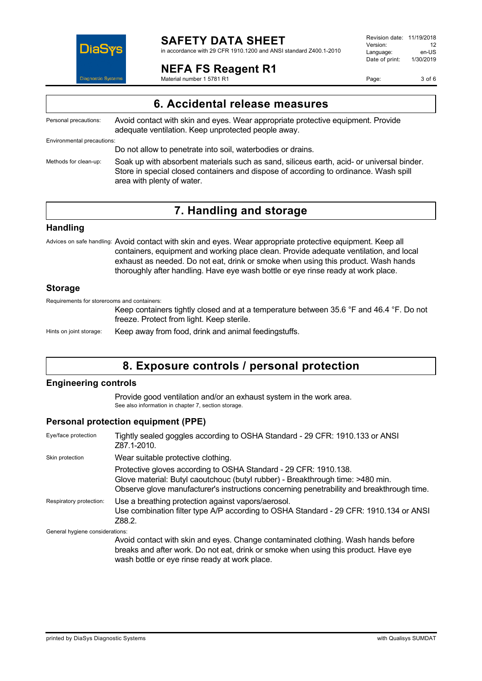

in accordance with 29 CFR 1910.1200 and ANSI standard Z400.1-2010

### **NEFA FS Reagent R1**

Material number 1 5781 R1

Revision date: 11/19/2018 Version: 12<br>Language: en-LIS Language: en-US<br>Date of print: 1/30/2019  $Date$  of print:

Page: 3 of 6

| 6. Accidental release measures |                                                                                                                                                                                                                 |
|--------------------------------|-----------------------------------------------------------------------------------------------------------------------------------------------------------------------------------------------------------------|
| Personal precautions:          | Avoid contact with skin and eyes. Wear appropriate protective equipment. Provide<br>adequate ventilation. Keep unprotected people away.                                                                         |
| Environmental precautions:     |                                                                                                                                                                                                                 |
|                                | Do not allow to penetrate into soil, waterbodies or drains.                                                                                                                                                     |
| Methods for clean-up:          | Soak up with absorbent materials such as sand, siliceus earth, acid- or universal binder.<br>Store in special closed containers and dispose of according to ordinance. Wash spill<br>area with plenty of water. |

## **7. Handling and storage**

### **Handling**

Advices on safe handling: Avoid contact with skin and eyes. Wear appropriate protective equipment. Keep all containers, equipment and working place clean. Provide adequate ventilation, and local exhaust as needed. Do not eat, drink or smoke when using this product. Wash hands thoroughly after handling. Have eye wash bottle or eye rinse ready at work place.

### **Storage**

Requirements for storerooms and containers:

Keep containers tightly closed and at a temperature between 35.6 °F and 46.4 °F. Do not freeze. Protect from light. Keep sterile.

Hints on joint storage: Keep away from food, drink and animal feedingstuffs.

## **8. Exposure controls / personal protection**

### **Engineering controls**

Provide good ventilation and/or an exhaust system in the work area. See also information in chapter 7, section storage.

### **Personal protection equipment (PPE)**

| Eye/face protection             | Tightly sealed goggles according to OSHA Standard - 29 CFR: 1910.133 or ANSI<br>Z87.1-2010.                                                                                                                                                     |
|---------------------------------|-------------------------------------------------------------------------------------------------------------------------------------------------------------------------------------------------------------------------------------------------|
| Skin protection                 | Wear suitable protective clothing.                                                                                                                                                                                                              |
|                                 | Protective gloves according to OSHA Standard - 29 CFR: 1910.138.<br>Glove material: Butyl caoutchouc (butyl rubber) - Breakthrough time: >480 min.<br>Observe glove manufacturer's instructions concerning penetrability and breakthrough time. |
| Respiratory protection:         | Use a breathing protection against vapors/aerosol.<br>Use combination filter type A/P according to OSHA Standard - 29 CFR: 1910.134 or ANSI<br>Z88.2.                                                                                           |
| General hygiene considerations: |                                                                                                                                                                                                                                                 |
|                                 | Avoid contact with skin and eyes. Change contaminated clothing. Wash hands before<br>breaks and after work. Do not eat, drink or smoke when using this product. Have eye                                                                        |

wash bottle or eye rinse ready at work place.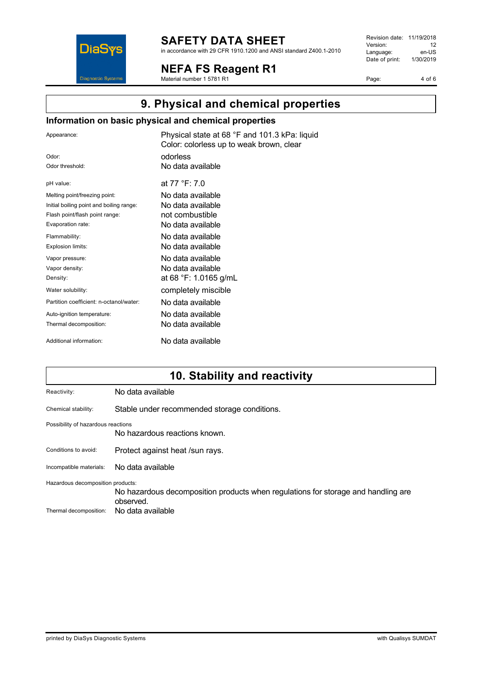

in accordance with 29 CFR 1910.1200 and ANSI standard Z400.1-2010

**NEFA FS Reagent R1**

Material number 1 5781 R1

Revision date: 11/19/2018 Version: 12<br>
Language: en-US Language: en-US<br>Date of print: 1/30/2019  $Date$  of print:

Page: 4 of 6

# **9. Physical and chemical properties**

### **Information on basic physical and chemical properties**

| Appearance:                              | Physical state at 68 °F and 101.3 kPa: liquid<br>Color: colorless up to weak brown, clear |
|------------------------------------------|-------------------------------------------------------------------------------------------|
| Odor:                                    | odorless                                                                                  |
| Odor threshold:                          | No data available                                                                         |
| pH value:                                | at 77 °F: 7.0                                                                             |
| Melting point/freezing point:            | No data available                                                                         |
| Initial boiling point and boiling range: | No data available                                                                         |
| Flash point/flash point range:           | not combustible                                                                           |
| Evaporation rate:                        | No data available                                                                         |
| Flammability:                            | No data available                                                                         |
| Explosion limits:                        | No data available                                                                         |
| Vapor pressure:                          | No data available                                                                         |
| Vapor density:                           | No data available                                                                         |
| Density:                                 | at 68 °F: 1.0165 g/mL                                                                     |
| Water solubility:                        | completely miscible                                                                       |
| Partition coefficient: n-octanol/water:  | No data available                                                                         |
| Auto-ignition temperature:               | No data available                                                                         |
| Thermal decomposition:                   | No data available                                                                         |
| Additional information:                  | No data available                                                                         |

# **10. Stability and reactivity**

| No data available                                                                                                                                        |
|----------------------------------------------------------------------------------------------------------------------------------------------------------|
| Stable under recommended storage conditions.                                                                                                             |
| Possibility of hazardous reactions<br>No hazardous reactions known.                                                                                      |
| Protect against heat /sun rays.                                                                                                                          |
| No data available                                                                                                                                        |
| Hazardous decomposition products:<br>No hazardous decomposition products when regulations for storage and handling are<br>observed.<br>No data available |
|                                                                                                                                                          |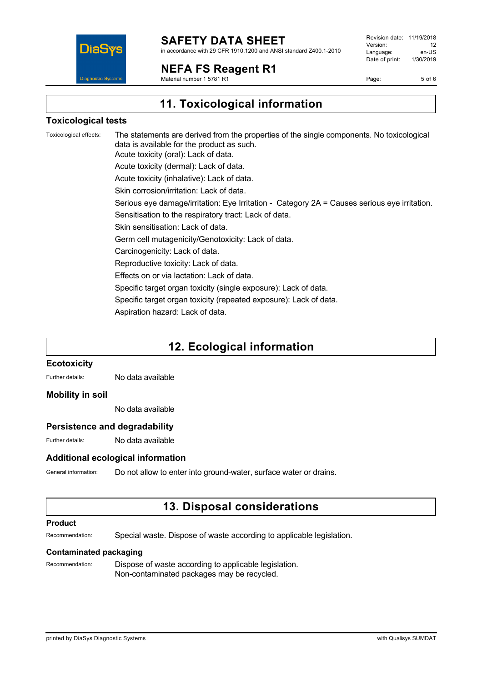

in accordance with 29 CFR 1910.1200 and ANSI standard Z400.1-2010

**NEFA FS Reagent R1**

Material number 1 5781 R1

Revision date: 11/19/2018 Version: 12<br>Language: en-LIS Language: en-US<br>Date of print: 1/30/2019  $Date$  of print:

Page: 5 of 6

**11. Toxicological information**

### **Toxicological tests**

Toxicological effects: The statements are derived from the properties of the single components. No toxicological data is available for the product as such. Acute toxicity (oral): Lack of data. Acute toxicity (dermal): Lack of data. Acute toxicity (inhalative): Lack of data. Skin corrosion/irritation: Lack of data. Serious eye damage/irritation: Eye Irritation - Category 2A = Causes serious eye irritation. Sensitisation to the respiratory tract: Lack of data. Skin sensitisation: Lack of data. Germ cell mutagenicity/Genotoxicity: Lack of data. Carcinogenicity: Lack of data. Reproductive toxicity: Lack of data. Effects on or via lactation: Lack of data. Specific target organ toxicity (single exposure): Lack of data. Specific target organ toxicity (repeated exposure): Lack of data. Aspiration hazard: Lack of data.

# **12. Ecological information**

### **Ecotoxicity**

Further details: No data available

### **Mobility in soil**

No data available

### **Persistence and degradability**

Further details: No data available

### **Additional ecological information**

General information: Do not allow to enter into ground-water, surface water or drains.

### **13. Disposal considerations**

### **Product**

Recommendation: Special waste. Dispose of waste according to applicable legislation.

### **Contaminated packaging**

Recommendation: Dispose of waste according to applicable legislation. Non-contaminated packages may be recycled.